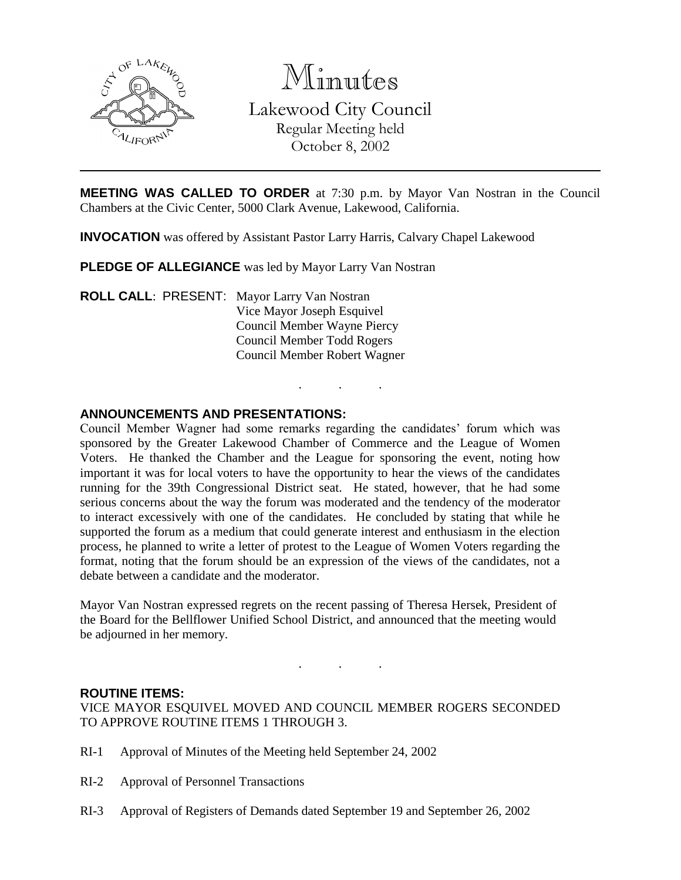

Minutes Lakewood City Council Regular Meeting held October 8, 2002

**MEETING WAS CALLED TO ORDER** at 7:30 p.m. by Mayor Van Nostran in the Council Chambers at the Civic Center, 5000 Clark Avenue, Lakewood, California.

. . .

**INVOCATION** was offered by Assistant Pastor Larry Harris, Calvary Chapel Lakewood

**PLEDGE OF ALLEGIANCE** was led by Mayor Larry Van Nostran

**ROLL CALL**: PRESENT: Mayor Larry Van Nostran Vice Mayor Joseph Esquivel Council Member Wayne Piercy Council Member Todd Rogers Council Member Robert Wagner

### **ANNOUNCEMENTS AND PRESENTATIONS:**

Council Member Wagner had some remarks regarding the candidates' forum which was sponsored by the Greater Lakewood Chamber of Commerce and the League of Women Voters. He thanked the Chamber and the League for sponsoring the event, noting how important it was for local voters to have the opportunity to hear the views of the candidates running for the 39th Congressional District seat. He stated, however, that he had some serious concerns about the way the forum was moderated and the tendency of the moderator to interact excessively with one of the candidates. He concluded by stating that while he supported the forum as a medium that could generate interest and enthusiasm in the election process, he planned to write a letter of protest to the League of Women Voters regarding the format, noting that the forum should be an expression of the views of the candidates, not a debate between a candidate and the moderator.

Mayor Van Nostran expressed regrets on the recent passing of Theresa Hersek, President of the Board for the Bellflower Unified School District, and announced that the meeting would be adjourned in her memory.

. . .

### **ROUTINE ITEMS:**

VICE MAYOR ESQUIVEL MOVED AND COUNCIL MEMBER ROGERS SECONDED TO APPROVE ROUTINE ITEMS 1 THROUGH 3.

- RI-1 Approval of Minutes of the Meeting held September 24, 2002
- RI-2 Approval of Personnel Transactions
- RI-3 Approval of Registers of Demands dated September 19 and September 26, 2002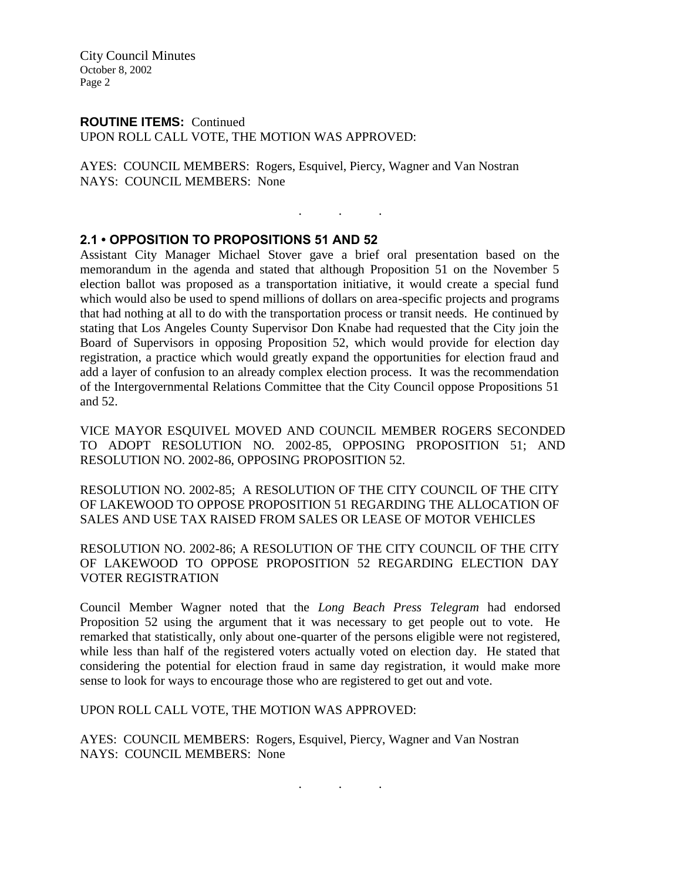City Council Minutes October 8, 2002 Page 2

### **ROUTINE ITEMS:** Continued

UPON ROLL CALL VOTE, THE MOTION WAS APPROVED:

AYES: COUNCIL MEMBERS: Rogers, Esquivel, Piercy, Wagner and Van Nostran NAYS: COUNCIL MEMBERS: None

### **2.1 • OPPOSITION TO PROPOSITIONS 51 AND 52**

Assistant City Manager Michael Stover gave a brief oral presentation based on the memorandum in the agenda and stated that although Proposition 51 on the November 5 election ballot was proposed as a transportation initiative, it would create a special fund which would also be used to spend millions of dollars on area-specific projects and programs that had nothing at all to do with the transportation process or transit needs. He continued by stating that Los Angeles County Supervisor Don Knabe had requested that the City join the Board of Supervisors in opposing Proposition 52, which would provide for election day registration, a practice which would greatly expand the opportunities for election fraud and add a layer of confusion to an already complex election process. It was the recommendation of the Intergovernmental Relations Committee that the City Council oppose Propositions 51 and 52.

. . .

VICE MAYOR ESQUIVEL MOVED AND COUNCIL MEMBER ROGERS SECONDED TO ADOPT RESOLUTION NO. 2002-85, OPPOSING PROPOSITION 51; AND RESOLUTION NO. 2002-86, OPPOSING PROPOSITION 52.

RESOLUTION NO. 2002-85; A RESOLUTION OF THE CITY COUNCIL OF THE CITY OF LAKEWOOD TO OPPOSE PROPOSITION 51 REGARDING THE ALLOCATION OF SALES AND USE TAX RAISED FROM SALES OR LEASE OF MOTOR VEHICLES

RESOLUTION NO. 2002-86; A RESOLUTION OF THE CITY COUNCIL OF THE CITY OF LAKEWOOD TO OPPOSE PROPOSITION 52 REGARDING ELECTION DAY VOTER REGISTRATION

Council Member Wagner noted that the *Long Beach Press Telegram* had endorsed Proposition 52 using the argument that it was necessary to get people out to vote. He remarked that statistically, only about one-quarter of the persons eligible were not registered, while less than half of the registered voters actually voted on election day. He stated that considering the potential for election fraud in same day registration, it would make more sense to look for ways to encourage those who are registered to get out and vote.

. . .

UPON ROLL CALL VOTE, THE MOTION WAS APPROVED:

AYES: COUNCIL MEMBERS: Rogers, Esquivel, Piercy, Wagner and Van Nostran NAYS: COUNCIL MEMBERS: None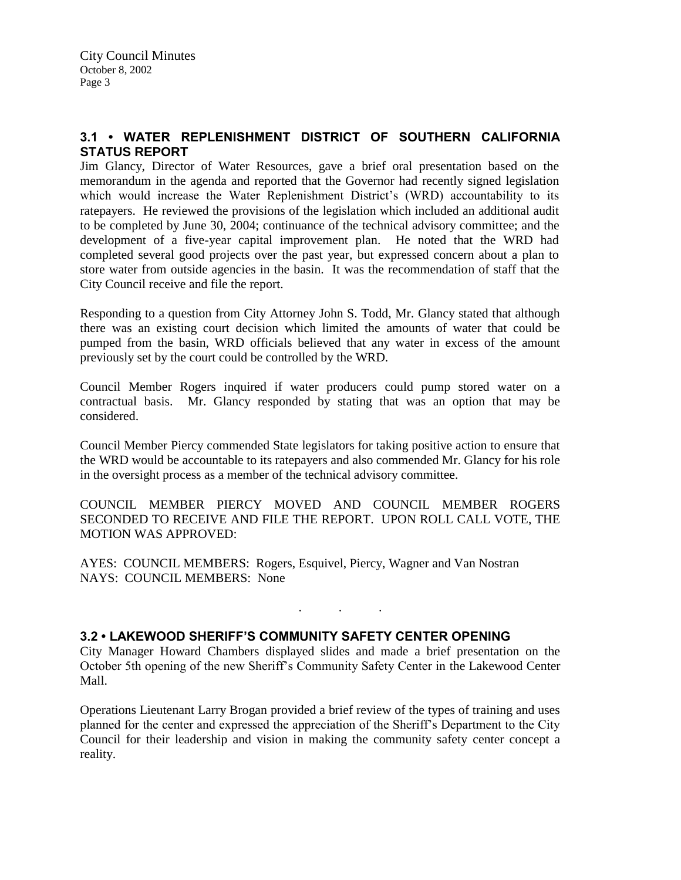# **3.1 • WATER REPLENISHMENT DISTRICT OF SOUTHERN CALIFORNIA STATUS REPORT**

Jim Glancy, Director of Water Resources, gave a brief oral presentation based on the memorandum in the agenda and reported that the Governor had recently signed legislation which would increase the Water Replenishment District's (WRD) accountability to its ratepayers. He reviewed the provisions of the legislation which included an additional audit to be completed by June 30, 2004; continuance of the technical advisory committee; and the development of a five-year capital improvement plan. He noted that the WRD had completed several good projects over the past year, but expressed concern about a plan to store water from outside agencies in the basin. It was the recommendation of staff that the City Council receive and file the report.

Responding to a question from City Attorney John S. Todd, Mr. Glancy stated that although there was an existing court decision which limited the amounts of water that could be pumped from the basin, WRD officials believed that any water in excess of the amount previously set by the court could be controlled by the WRD.

Council Member Rogers inquired if water producers could pump stored water on a contractual basis. Mr. Glancy responded by stating that was an option that may be considered.

Council Member Piercy commended State legislators for taking positive action to ensure that the WRD would be accountable to its ratepayers and also commended Mr. Glancy for his role in the oversight process as a member of the technical advisory committee.

COUNCIL MEMBER PIERCY MOVED AND COUNCIL MEMBER ROGERS SECONDED TO RECEIVE AND FILE THE REPORT. UPON ROLL CALL VOTE, THE MOTION WAS APPROVED:

AYES: COUNCIL MEMBERS: Rogers, Esquivel, Piercy, Wagner and Van Nostran NAYS: COUNCIL MEMBERS: None

# **3.2 • LAKEWOOD SHERIFF'S COMMUNITY SAFETY CENTER OPENING**

City Manager Howard Chambers displayed slides and made a brief presentation on the October 5th opening of the new Sheriff's Community Safety Center in the Lakewood Center Mall.

. . .

Operations Lieutenant Larry Brogan provided a brief review of the types of training and uses planned for the center and expressed the appreciation of the Sheriff's Department to the City Council for their leadership and vision in making the community safety center concept a reality.